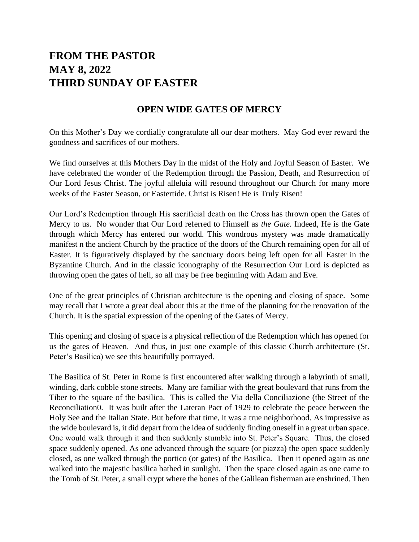# **FROM THE PASTOR MAY 8, 2022 THIRD SUNDAY OF EASTER**

#### **OPEN WIDE GATES OF MERCY**

On this Mother's Day we cordially congratulate all our dear mothers. May God ever reward the goodness and sacrifices of our mothers.

We find ourselves at this Mothers Day in the midst of the Holy and Joyful Season of Easter. We have celebrated the wonder of the Redemption through the Passion, Death, and Resurrection of Our Lord Jesus Christ. The joyful alleluia will resound throughout our Church for many more weeks of the Easter Season, or Eastertide. Christ is Risen! He is Truly Risen!

Our Lord's Redemption through His sacrificial death on the Cross has thrown open the Gates of Mercy to us. No wonder that Our Lord referred to Himself as *the Gate.* Indeed, He is the Gate through which Mercy has entered our world. This wondrous mystery was made dramatically manifest n the ancient Church by the practice of the doors of the Church remaining open for all of Easter. It is figuratively displayed by the sanctuary doors being left open for all Easter in the Byzantine Church. And in the classic iconography of the Resurrection Our Lord is depicted as throwing open the gates of hell, so all may be free beginning with Adam and Eve.

One of the great principles of Christian architecture is the opening and closing of space. Some may recall that I wrote a great deal about this at the time of the planning for the renovation of the Church. It is the spatial expression of the opening of the Gates of Mercy.

This opening and closing of space is a physical reflection of the Redemption which has opened for us the gates of Heaven. And thus, in just one example of this classic Church architecture (St. Peter's Basilica) we see this beautifully portrayed.

The Basilica of St. Peter in Rome is first encountered after walking through a labyrinth of small, winding, dark cobble stone streets. Many are familiar with the great boulevard that runs from the Tiber to the square of the basilica. This is called the Via della Conciliazione (the Street of the Reconciliation0. It was built after the Lateran Pact of 1929 to celebrate the peace between the Holy See and the Italian State. But before that time, it was a true neighborhood. As impressive as the wide boulevard is, it did depart from the idea of suddenly finding oneself in a great urban space. One would walk through it and then suddenly stumble into St. Peter's Square. Thus, the closed space suddenly opened. As one advanced through the square (or piazza) the open space suddenly closed, as one walked through the portico (or gates) of the Basilica. Then it opened again as one walked into the majestic basilica bathed in sunlight. Then the space closed again as one came to the Tomb of St. Peter, a small crypt where the bones of the Galilean fisherman are enshrined. Then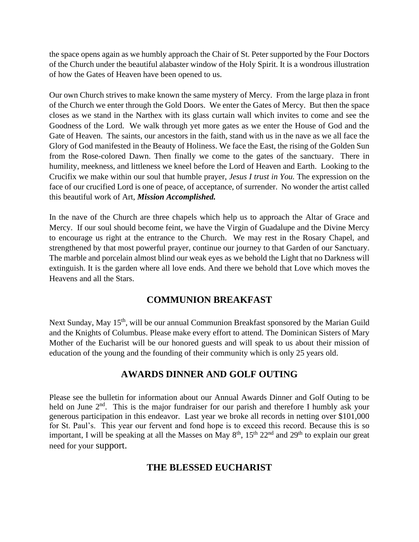the space opens again as we humbly approach the Chair of St. Peter supported by the Four Doctors of the Church under the beautiful alabaster window of the Holy Spirit. It is a wondrous illustration of how the Gates of Heaven have been opened to us.

Our own Church strives to make known the same mystery of Mercy. From the large plaza in front of the Church we enter through the Gold Doors. We enter the Gates of Mercy. But then the space closes as we stand in the Narthex with its glass curtain wall which invites to come and see the Goodness of the Lord. We walk through yet more gates as we enter the House of God and the Gate of Heaven. The saints, our ancestors in the faith, stand with us in the nave as we all face the Glory of God manifested in the Beauty of Holiness. We face the East, the rising of the Golden Sun from the Rose-colored Dawn. Then finally we come to the gates of the sanctuary. There in humility, meekness, and littleness we kneel before the Lord of Heaven and Earth. Looking to the Crucifix we make within our soul that humble prayer, *Jesus I trust in You.* The expression on the face of our crucified Lord is one of peace, of acceptance, of surrender. No wonder the artist called this beautiful work of Art, *Mission Accomplished.*

In the nave of the Church are three chapels which help us to approach the Altar of Grace and Mercy. If our soul should become feint, we have the Virgin of Guadalupe and the Divine Mercy to encourage us right at the entrance to the Church. We may rest in the Rosary Chapel, and strengthened by that most powerful prayer, continue our journey to that Garden of our Sanctuary. The marble and porcelain almost blind our weak eyes as we behold the Light that no Darkness will extinguish. It is the garden where all love ends. And there we behold that Love which moves the Heavens and all the Stars.

### **COMMUNION BREAKFAST**

Next Sunday, May 15<sup>th</sup>, will be our annual Communion Breakfast sponsored by the Marian Guild and the Knights of Columbus. Please make every effort to attend. The Dominican Sisters of Mary Mother of the Eucharist will be our honored guests and will speak to us about their mission of education of the young and the founding of their community which is only 25 years old.

### **AWARDS DINNER AND GOLF OUTING**

Please see the bulletin for information about our Annual Awards Dinner and Golf Outing to be held on June 2<sup>nd</sup>. This is the major fundraiser for our parish and therefore I humbly ask your generous participation in this endeavor. Last year we broke all records in netting over \$101,000 for St. Paul's. This year our fervent and fond hope is to exceed this record. Because this is so important, I will be speaking at all the Masses on May 8<sup>th</sup>, 15<sup>th</sup> 22<sup>nd</sup> and 29<sup>th</sup> to explain our great need for your support.

## **THE BLESSED EUCHARIST**